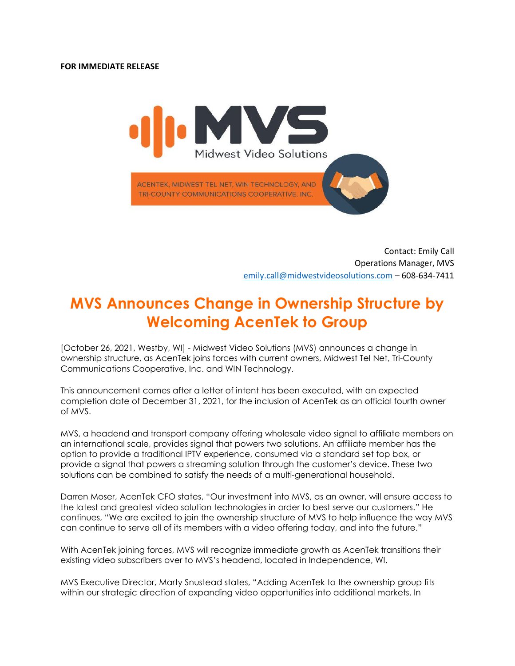

 Contact: Emily Call Operations Manager, MVS [emily.call@midwestvideosolutions.com](mailto:emily.call@midwestvideosolutions.com) – 608-634-7411

## **MVS Announces Change in Ownership Structure by Welcoming AcenTek to Group**

[October 26, 2021, Westby, WI] - Midwest Video Solutions (MVS) announces a change in ownership structure, as AcenTek joins forces with current owners, Midwest Tel Net, Tri-County Communications Cooperative, Inc. and WIN Technology.

This announcement comes after a letter of intent has been executed, with an expected completion date of December 31, 2021, for the inclusion of AcenTek as an official fourth owner of MVS.

MVS, a headend and transport company offering wholesale video signal to affiliate members on an international scale, provides signal that powers two solutions. An affiliate member has the option to provide a traditional IPTV experience, consumed via a standard set top box, or provide a signal that powers a streaming solution through the customer's device. These two solutions can be combined to satisfy the needs of a multi-generational household.

Darren Moser, AcenTek CFO states, "Our investment into MVS, as an owner, will ensure access to the latest and greatest video solution technologies in order to best serve our customers." He continues, "We are excited to join the ownership structure of MVS to help influence the way MVS can continue to serve all of its members with a video offering today, and into the future."

With AcenTek joining forces, MVS will recognize immediate growth as AcenTek transitions their existing video subscribers over to MVS's headend, located in Independence, WI.

MVS Executive Director, Marty Snustead states, "Adding AcenTek to the ownership group fits within our strategic direction of expanding video opportunities into additional markets. In